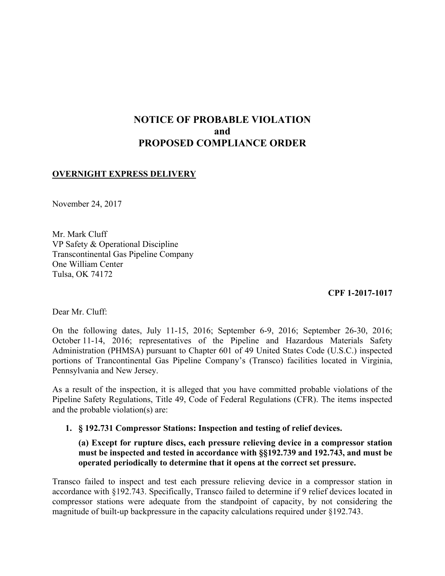# **NOTICE OF PROBABLE VIOLATION and PROPOSED COMPLIANCE ORDER**

# **OVERNIGHT EXPRESS DELIVERY**

November 24, 2017

Mr. Mark Cluff VP Safety & Operational Discipline Transcontinental Gas Pipeline Company One William Center Tulsa, OK 74172

**CPF 1-2017-1017**

Dear Mr. Cluff:

On the following dates, July 11-15, 2016; September 6-9, 2016; September 26-30, 2016; October 11-14, 2016; representatives of the Pipeline and Hazardous Materials Safety Administration (PHMSA) pursuant to Chapter 601 of 49 United States Code (U.S.C.) inspected portions of Trancontinental Gas Pipeline Company's (Transco) facilities located in Virginia, Pennsylvania and New Jersey.

As a result of the inspection, it is alleged that you have committed probable violations of the Pipeline Safety Regulations, Title 49, Code of Federal Regulations (CFR). The items inspected and the probable violation(s) are:

## **1. § 192.731 Compressor Stations: Inspection and testing of relief devices.**

**(a) Except for rupture discs, each pressure relieving device in a compressor station must be inspected and tested in accordance with §§192.739 and 192.743, and must be operated periodically to determine that it opens at the correct set pressure.**

 Transco failed to inspect and test each pressure relieving device in a compressor station in accordance with §192.743. Specifically, Transco failed to determine if 9 relief devices located in compressor stations were adequate from the standpoint of capacity, by not considering the magnitude of built-up backpressure in the capacity calculations required under §192.743.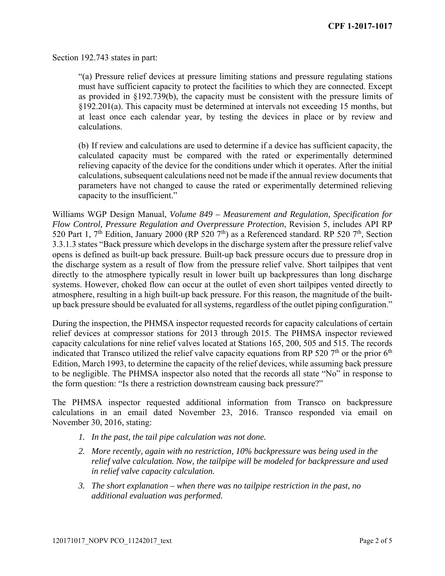Section 192.743 states in part:

 as provided in §192.739(b), the capacity must be consistent with the pressure limits of "(a) Pressure relief devices at pressure limiting stations and pressure regulating stations must have sufficient capacity to protect the facilities to which they are connected. Except §192.201(a). This capacity must be determined at intervals not exceeding 15 months, but at least once each calendar year, by testing the devices in place or by review and calculations.

 relieving capacity of the device for the conditions under which it operates. After the initial (b) If review and calculations are used to determine if a device has sufficient capacity, the calculated capacity must be compared with the rated or experimentally determined calculations, subsequent calculations need not be made if the annual review documents that parameters have not changed to cause the rated or experimentally determined relieving capacity to the insufficient."

 the discharge system as a result of flow from the pressure relief valve. Short tailpipes that vent Williams WGP Design Manual, *Volume 849 – Measurement and Regulation, Specification for Flow Control, Pressure Regulation and Overpressure Protection*, Revision 5, includes API RP 520 Part 1,  $7<sup>th</sup>$  Edition, January 2000 (RP 520  $7<sup>th</sup>$ ) as a Referenced standard. RP 520  $7<sup>th</sup>$ , Section 3.3.1.3 states "Back pressure which develops in the discharge system after the pressure relief valve opens is defined as built-up back pressure. Built-up back pressure occurs due to pressure drop in directly to the atmosphere typically result in lower built up backpressures than long discharge systems. However, choked flow can occur at the outlet of even short tailpipes vented directly to atmosphere, resulting in a high built-up back pressure. For this reason, the magnitude of the builtup back pressure should be evaluated for all systems, regardless of the outlet piping configuration."

indicated that Transco utilized the relief valve capacity equations from RP 520  $7<sup>th</sup>$  or the prior 6<sup>th</sup> During the inspection, the PHMSA inspector requested records for capacity calculations of certain relief devices at compressor stations for 2013 through 2015. The PHMSA inspector reviewed capacity calculations for nine relief valves located at Stations 165, 200, 505 and 515. The records Edition, March 1993, to determine the capacity of the relief devices, while assuming back pressure to be negligible. The PHMSA inspector also noted that the records all state "No" in response to the form question: "Is there a restriction downstream causing back pressure?"

 The PHMSA inspector requested additional information from Transco on backpressure calculations in an email dated November 23, 2016. Transco responded via email on November 30, 2016, stating:

- *1. In the past, the tail pipe calculation was not done.*
- *2. More recently, again with no restriction, 10% backpressure was being used in the relief valve calculation. Now, the tailpipe will be modeled for backpressure and used in relief valve capacity calculation.*
- *3. The short explanation when there was no tailpipe restriction in the past, no additional evaluation was performed.*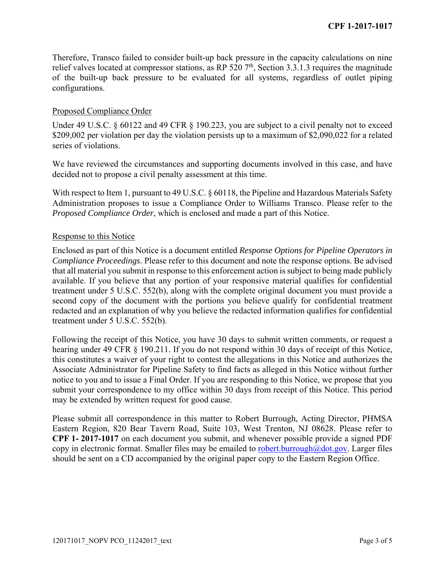Therefore, Transco failed to consider built-up back pressure in the capacity calculations on nine relief valves located at compressor stations, as RP 520  $7<sup>th</sup>$ , Section 3.3.1.3 requires the magnitude of the built-up back pressure to be evaluated for all systems, regardless of outlet piping configurations.

#### Proposed Compliance Order

Under 49 U.S.C. § 60122 and 49 CFR § 190.223, you are subject to a civil penalty not to exceed \$209,002 per violation per day the violation persists up to a maximum of \$2,090,022 for a related series of violations.

 decided not to propose a civil penalty assessment at this time. We have reviewed the circumstances and supporting documents involved in this case, and have

 Administration proposes to issue a Compliance Order to Williams Transco. Please refer to the With respect to Item 1, pursuant to 49 U.S.C. § 60118, the Pipeline and Hazardous Materials Safety *Proposed Compliance Order*, which is enclosed and made a part of this Notice.

#### Response to this Notice

 treatment under 5 U.S.C. 552(b), along with the complete original document you must provide a Enclosed as part of this Notice is a document entitled *Response Options for Pipeline Operators in Compliance Proceedings*. Please refer to this document and note the response options. Be advised that all material you submit in response to this enforcement action is subject to being made publicly available. If you believe that any portion of your responsive material qualifies for confidential second copy of the document with the portions you believe qualify for confidential treatment redacted and an explanation of why you believe the redacted information qualifies for confidential treatment under 5 U.S.C. 552(b).

 hearing under 49 CFR § 190.211. If you do not respond within 30 days of receipt of this Notice, Following the receipt of this Notice, you have 30 days to submit written comments, or request a this constitutes a waiver of your right to contest the allegations in this Notice and authorizes the Associate Administrator for Pipeline Safety to find facts as alleged in this Notice without further notice to you and to issue a Final Order. If you are responding to this Notice, we propose that you submit your correspondence to my office within 30 days from receipt of this Notice. This period may be extended by written request for good cause.

Please submit all correspondence in this matter to Robert Burrough, Acting Director, PHMSA Eastern Region, 820 Bear Tavern Road, Suite 103, West Trenton, NJ 08628. Please refer to **CPF 1- 2017-1017** on each document you submit, and whenever possible provide a signed PDF copy in electronic format. Smaller files may be emailed to robert.burrough@dot.gov. Larger files should be sent on a CD accompanied by the original paper copy to the Eastern Region Office.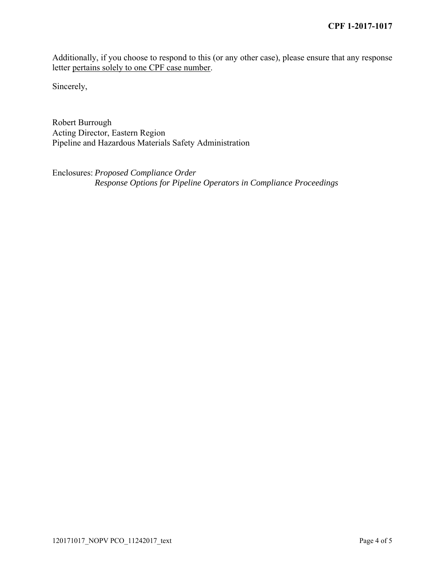Additionally, if you choose to respond to this (or any other case), please ensure that any response letter pertains solely to one CPF case number.

Sincerely,

Robert Burrough Acting Director, Eastern Region Pipeline and Hazardous Materials Safety Administration

Enclosures: *Proposed Compliance Order Response Options for Pipeline Operators in Compliance Proceedings*